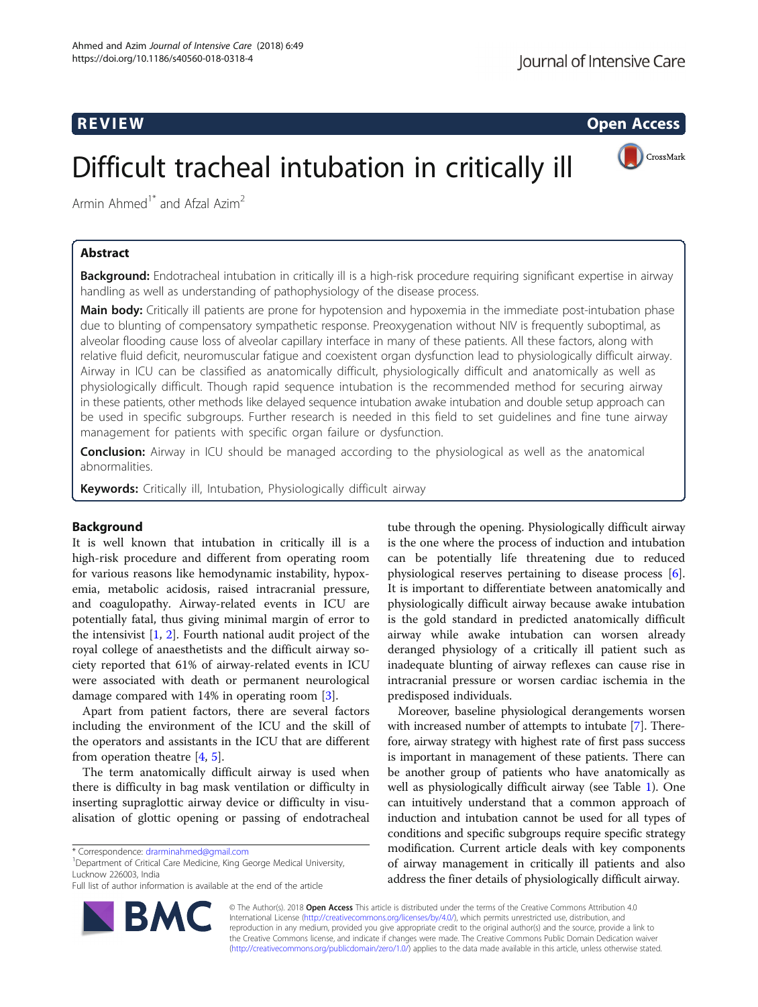R EVI EW Open Access

# Difficult tracheal intubation in critically ill



Armin Ahmed<sup>1\*</sup> and Afzal Azim<sup>2</sup>

# Abstract

Background: Endotracheal intubation in critically ill is a high-risk procedure requiring significant expertise in airway handling as well as understanding of pathophysiology of the disease process.

Main body: Critically ill patients are prone for hypotension and hypoxemia in the immediate post-intubation phase due to blunting of compensatory sympathetic response. Preoxygenation without NIV is frequently suboptimal, as alveolar flooding cause loss of alveolar capillary interface in many of these patients. All these factors, along with relative fluid deficit, neuromuscular fatigue and coexistent organ dysfunction lead to physiologically difficult airway. Airway in ICU can be classified as anatomically difficult, physiologically difficult and anatomically as well as physiologically difficult. Though rapid sequence intubation is the recommended method for securing airway in these patients, other methods like delayed sequence intubation awake intubation and double setup approach can be used in specific subgroups. Further research is needed in this field to set guidelines and fine tune airway management for patients with specific organ failure or dysfunction.

**Conclusion:** Airway in ICU should be managed according to the physiological as well as the anatomical abnormalities.

Keywords: Critically ill, Intubation, Physiologically difficult airway

## Background

It is well known that intubation in critically ill is a high-risk procedure and different from operating room for various reasons like hemodynamic instability, hypoxemia, metabolic acidosis, raised intracranial pressure, and coagulopathy. Airway-related events in ICU are potentially fatal, thus giving minimal margin of error to the intensivist  $[1, 2]$  $[1, 2]$  $[1, 2]$  $[1, 2]$ . Fourth national audit project of the royal college of anaesthetists and the difficult airway society reported that 61% of airway-related events in ICU were associated with death or permanent neurological damage compared with 14% in operating room [[3\]](#page-7-0).

Apart from patient factors, there are several factors including the environment of the ICU and the skill of the operators and assistants in the ICU that are different from operation theatre [\[4](#page-7-0), [5](#page-7-0)].

The term anatomically difficult airway is used when there is difficulty in bag mask ventilation or difficulty in inserting supraglottic airway device or difficulty in visualisation of glottic opening or passing of endotracheal

<sup>1</sup>Department of Critical Care Medicine, King George Medical University, Lucknow 226003, India



Moreover, baseline physiological derangements worsen with increased number of attempts to intubate [\[7](#page-7-0)]. Therefore, airway strategy with highest rate of first pass success is important in management of these patients. There can be another group of patients who have anatomically as well as physiologically difficult airway (see Table [1](#page-1-0)). One can intuitively understand that a common approach of induction and intubation cannot be used for all types of conditions and specific subgroups require specific strategy modification. Current article deals with key components of airway management in critically ill patients and also address the finer details of physiologically difficult airway.

© The Author(s). 2018 Open Access This article is distributed under the terms of the Creative Commons Attribution 4.0 International License [\(http://creativecommons.org/licenses/by/4.0/](http://creativecommons.org/licenses/by/4.0/)), which permits unrestricted use, distribution, and reproduction in any medium, provided you give appropriate credit to the original author(s) and the source, provide a link to the Creative Commons license, and indicate if changes were made. The Creative Commons Public Domain Dedication waiver [\(http://creativecommons.org/publicdomain/zero/1.0/](http://creativecommons.org/publicdomain/zero/1.0/)) applies to the data made available in this article, unless otherwise stated.



<sup>\*</sup> Correspondence: [drarminahmed@gmail.com](mailto:drarminahmed@gmail.com) <sup>1</sup>

Full list of author information is available at the end of the article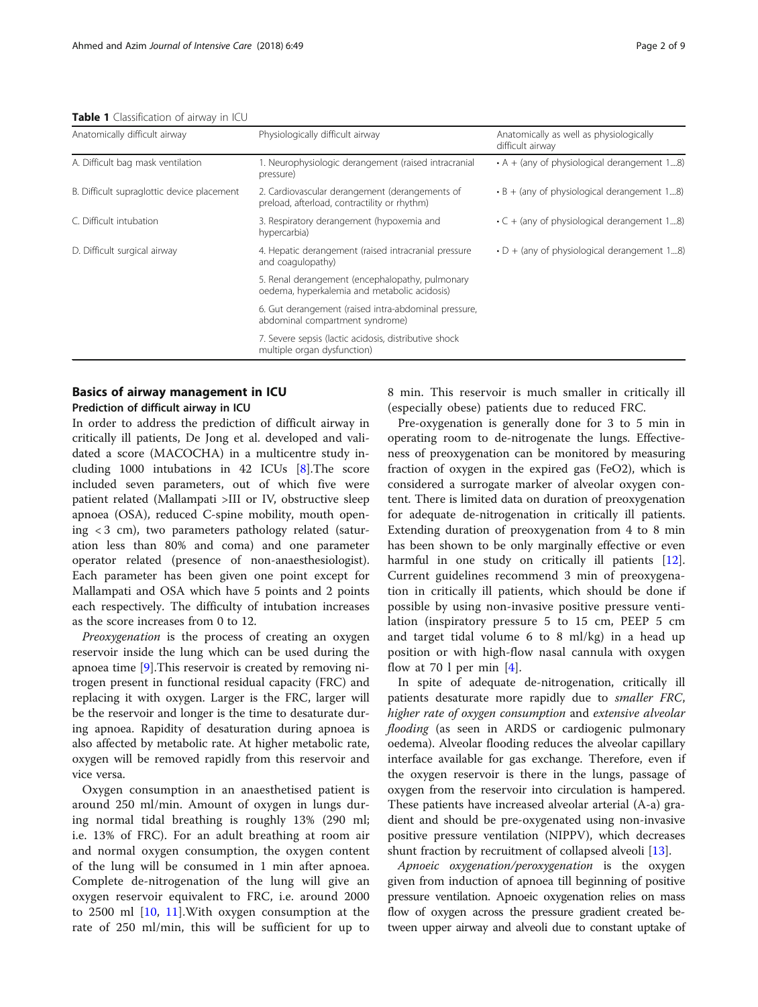<span id="page-1-0"></span>Table 1 Classification of airway in ICU

| Anatomically difficult airway              | Physiologically difficult airway                                                                               | Anatomically as well as physiologically<br>difficult airway |  |
|--------------------------------------------|----------------------------------------------------------------------------------------------------------------|-------------------------------------------------------------|--|
| A. Difficult bag mask ventilation          | 1. Neurophysiologic derangement (raised intracranial<br>pressure)                                              | $\cdot$ A + (any of physiological derangement 18)           |  |
| B. Difficult supraglottic device placement | 2. Cardiovascular derangement (derangements of<br>preload, afterload, contractility or rhythm)                 | $\cdot$ B + (any of physiological derangement 18)           |  |
| C. Difficult intubation                    | $\cdot$ C + (any of physiological derangement 18)<br>3. Respiratory derangement (hypoxemia and<br>hypercarbia) |                                                             |  |
| D. Difficult surgical airway               | 4. Hepatic derangement (raised intracranial pressure<br>and coagulopathy)                                      | $\cdot$ D + (any of physiological derangement 18)           |  |
|                                            | 5. Renal derangement (encephalopathy, pulmonary<br>oedema, hyperkalemia and metabolic acidosis)                |                                                             |  |
|                                            | 6. Gut derangement (raised intra-abdominal pressure,<br>abdominal compartment syndrome)                        |                                                             |  |
|                                            | 7. Severe sepsis (lactic acidosis, distributive shock<br>multiple organ dysfunction)                           |                                                             |  |

## Basics of airway management in ICU Prediction of difficult airway in ICU

In order to address the prediction of difficult airway in critically ill patients, De Jong et al. developed and validated a score (MACOCHA) in a multicentre study including 1000 intubations in 42 ICUs [[8\]](#page-7-0).The score included seven parameters, out of which five were patient related (Mallampati >III or IV, obstructive sleep apnoea (OSA), reduced C-spine mobility, mouth opening  $<$  3 cm), two parameters pathology related (saturation less than 80% and coma) and one parameter operator related (presence of non-anaesthesiologist). Each parameter has been given one point except for Mallampati and OSA which have 5 points and 2 points each respectively. The difficulty of intubation increases as the score increases from 0 to 12.

Preoxygenation is the process of creating an oxygen reservoir inside the lung which can be used during the apnoea time [[9\]](#page-7-0).This reservoir is created by removing nitrogen present in functional residual capacity (FRC) and replacing it with oxygen. Larger is the FRC, larger will be the reservoir and longer is the time to desaturate during apnoea. Rapidity of desaturation during apnoea is also affected by metabolic rate. At higher metabolic rate, oxygen will be removed rapidly from this reservoir and vice versa.

Oxygen consumption in an anaesthetised patient is around 250 ml/min. Amount of oxygen in lungs during normal tidal breathing is roughly 13% (290 ml; i.e. 13% of FRC). For an adult breathing at room air and normal oxygen consumption, the oxygen content of the lung will be consumed in 1 min after apnoea. Complete de-nitrogenation of the lung will give an oxygen reservoir equivalent to FRC, i.e. around 2000 to 2500 ml [\[10](#page-7-0), [11](#page-7-0)].With oxygen consumption at the rate of 250 ml/min, this will be sufficient for up to 8 min. This reservoir is much smaller in critically ill (especially obese) patients due to reduced FRC.

Pre-oxygenation is generally done for 3 to 5 min in operating room to de-nitrogenate the lungs. Effectiveness of preoxygenation can be monitored by measuring fraction of oxygen in the expired gas (FeO2), which is considered a surrogate marker of alveolar oxygen content. There is limited data on duration of preoxygenation for adequate de-nitrogenation in critically ill patients. Extending duration of preoxygenation from 4 to 8 min has been shown to be only marginally effective or even harmful in one study on critically ill patients [\[12](#page-7-0)]. Current guidelines recommend 3 min of preoxygenation in critically ill patients, which should be done if possible by using non-invasive positive pressure ventilation (inspiratory pressure 5 to 15 cm, PEEP 5 cm and target tidal volume 6 to 8 ml/kg) in a head up position or with high-flow nasal cannula with oxygen flow at 70 l per min  $[4]$  $[4]$ .

In spite of adequate de-nitrogenation, critically ill patients desaturate more rapidly due to smaller FRC, higher rate of oxygen consumption and extensive alveolar flooding (as seen in ARDS or cardiogenic pulmonary oedema). Alveolar flooding reduces the alveolar capillary interface available for gas exchange. Therefore, even if the oxygen reservoir is there in the lungs, passage of oxygen from the reservoir into circulation is hampered. These patients have increased alveolar arterial (A-a) gradient and should be pre-oxygenated using non-invasive positive pressure ventilation (NIPPV), which decreases shunt fraction by recruitment of collapsed alveoli [[13\]](#page-7-0).

Apnoeic oxygenation/peroxygenation is the oxygen given from induction of apnoea till beginning of positive pressure ventilation. Apnoeic oxygenation relies on mass flow of oxygen across the pressure gradient created between upper airway and alveoli due to constant uptake of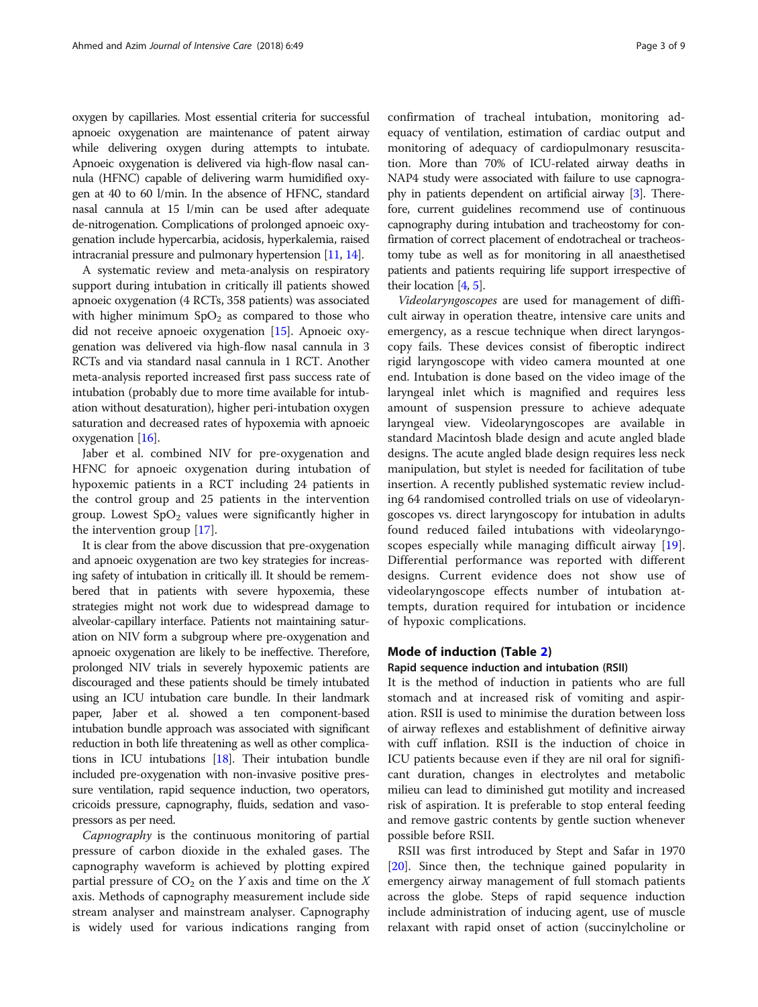oxygen by capillaries. Most essential criteria for successful apnoeic oxygenation are maintenance of patent airway while delivering oxygen during attempts to intubate. Apnoeic oxygenation is delivered via high-flow nasal cannula (HFNC) capable of delivering warm humidified oxygen at 40 to 60 l/min. In the absence of HFNC, standard nasal cannula at 15 l/min can be used after adequate de-nitrogenation. Complications of prolonged apnoeic oxygenation include hypercarbia, acidosis, hyperkalemia, raised intracranial pressure and pulmonary hypertension [[11](#page-7-0), [14](#page-7-0)].

A systematic review and meta-analysis on respiratory support during intubation in critically ill patients showed apnoeic oxygenation (4 RCTs, 358 patients) was associated with higher minimum  $SpO<sub>2</sub>$  as compared to those who did not receive apnoeic oxygenation [[15](#page-7-0)]. Apnoeic oxygenation was delivered via high-flow nasal cannula in 3 RCTs and via standard nasal cannula in 1 RCT. Another meta-analysis reported increased first pass success rate of intubation (probably due to more time available for intubation without desaturation), higher peri-intubation oxygen saturation and decreased rates of hypoxemia with apnoeic oxygenation [[16\]](#page-7-0).

Jaber et al. combined NIV for pre-oxygenation and HFNC for apnoeic oxygenation during intubation of hypoxemic patients in a RCT including 24 patients in the control group and 25 patients in the intervention group. Lowest  $SpO<sub>2</sub>$  values were significantly higher in the intervention group [[17\]](#page-7-0).

It is clear from the above discussion that pre-oxygenation and apnoeic oxygenation are two key strategies for increasing safety of intubation in critically ill. It should be remembered that in patients with severe hypoxemia, these strategies might not work due to widespread damage to alveolar-capillary interface. Patients not maintaining saturation on NIV form a subgroup where pre-oxygenation and apnoeic oxygenation are likely to be ineffective. Therefore, prolonged NIV trials in severely hypoxemic patients are discouraged and these patients should be timely intubated using an ICU intubation care bundle. In their landmark paper, Jaber et al. showed a ten component-based intubation bundle approach was associated with significant reduction in both life threatening as well as other complications in ICU intubations [\[18](#page-7-0)]. Their intubation bundle included pre-oxygenation with non-invasive positive pressure ventilation, rapid sequence induction, two operators, cricoids pressure, capnography, fluids, sedation and vasopressors as per need.

Capnography is the continuous monitoring of partial pressure of carbon dioxide in the exhaled gases. The capnography waveform is achieved by plotting expired partial pressure of  $CO<sub>2</sub>$  on the Y axis and time on the X axis. Methods of capnography measurement include side stream analyser and mainstream analyser. Capnography is widely used for various indications ranging from

confirmation of tracheal intubation, monitoring adequacy of ventilation, estimation of cardiac output and monitoring of adequacy of cardiopulmonary resuscitation. More than 70% of ICU-related airway deaths in NAP4 study were associated with failure to use capnography in patients dependent on artificial airway [[3\]](#page-7-0). Therefore, current guidelines recommend use of continuous capnography during intubation and tracheostomy for confirmation of correct placement of endotracheal or tracheostomy tube as well as for monitoring in all anaesthetised patients and patients requiring life support irrespective of their location [\[4](#page-7-0), [5](#page-7-0)].

Videolaryngoscopes are used for management of difficult airway in operation theatre, intensive care units and emergency, as a rescue technique when direct laryngoscopy fails. These devices consist of fiberoptic indirect rigid laryngoscope with video camera mounted at one end. Intubation is done based on the video image of the laryngeal inlet which is magnified and requires less amount of suspension pressure to achieve adequate laryngeal view. Videolaryngoscopes are available in standard Macintosh blade design and acute angled blade designs. The acute angled blade design requires less neck manipulation, but stylet is needed for facilitation of tube insertion. A recently published systematic review including 64 randomised controlled trials on use of videolaryngoscopes vs. direct laryngoscopy for intubation in adults found reduced failed intubations with videolaryngoscopes especially while managing difficult airway [\[19](#page-7-0)]. Differential performance was reported with different designs. Current evidence does not show use of videolaryngoscope effects number of intubation attempts, duration required for intubation or incidence of hypoxic complications.

## Mode of induction (Table [2\)](#page-3-0)

#### Rapid sequence induction and intubation (RSII)

It is the method of induction in patients who are full stomach and at increased risk of vomiting and aspiration. RSII is used to minimise the duration between loss of airway reflexes and establishment of definitive airway with cuff inflation. RSII is the induction of choice in ICU patients because even if they are nil oral for significant duration, changes in electrolytes and metabolic milieu can lead to diminished gut motility and increased risk of aspiration. It is preferable to stop enteral feeding and remove gastric contents by gentle suction whenever possible before RSII.

RSII was first introduced by Stept and Safar in 1970 [[20\]](#page-7-0). Since then, the technique gained popularity in emergency airway management of full stomach patients across the globe. Steps of rapid sequence induction include administration of inducing agent, use of muscle relaxant with rapid onset of action (succinylcholine or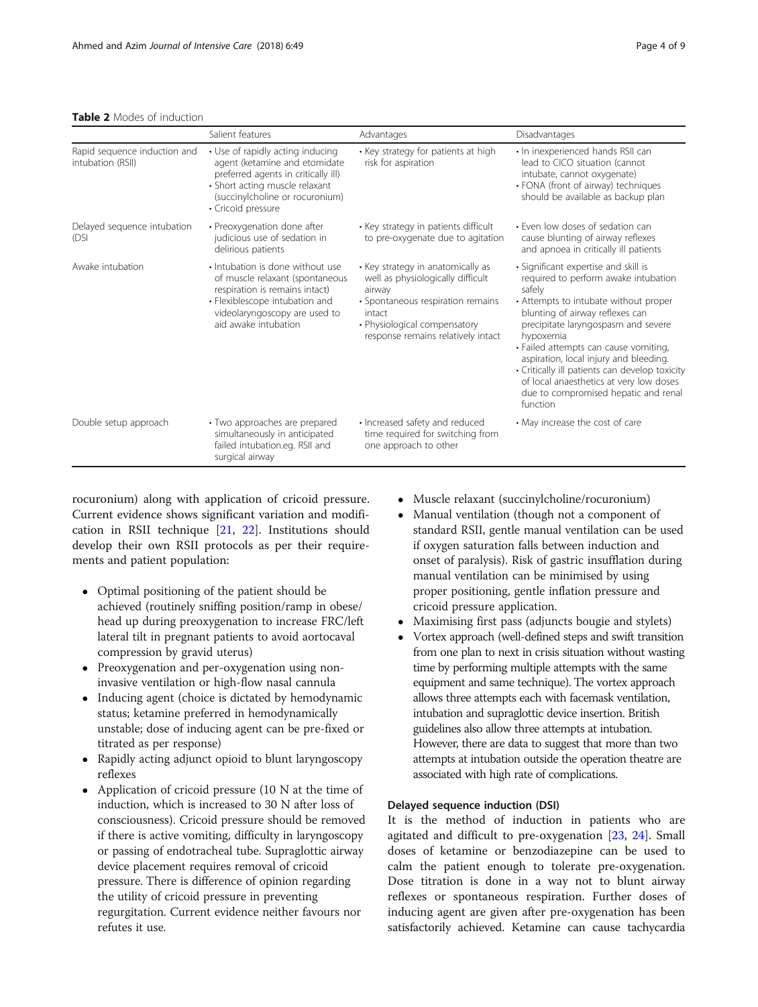## <span id="page-3-0"></span>Table 2 Modes of induction

|                                                   | Salient features                                                                                                                                                                                    | Advantages                                                                                                                                                                                            | Disadvantages                                                                                                                                                                                                                                                                                                                                                                                                                                              |
|---------------------------------------------------|-----------------------------------------------------------------------------------------------------------------------------------------------------------------------------------------------------|-------------------------------------------------------------------------------------------------------------------------------------------------------------------------------------------------------|------------------------------------------------------------------------------------------------------------------------------------------------------------------------------------------------------------------------------------------------------------------------------------------------------------------------------------------------------------------------------------------------------------------------------------------------------------|
| Rapid sequence induction and<br>intubation (RSII) | • Use of rapidly acting inducing<br>agent (ketamine and etomidate<br>preferred agents in critically ill)<br>• Short acting muscle relaxant<br>(succinylcholine or rocuronium)<br>· Cricoid pressure | • Key strategy for patients at high<br>risk for aspiration                                                                                                                                            | · In inexperienced hands RSII can<br>lead to CICO situation (cannot<br>intubate, cannot oxygenate)<br>• FONA (front of airway) techniques<br>should be available as backup plan                                                                                                                                                                                                                                                                            |
| Delayed sequence intubation<br>(DSI               | • Preoxygenation done after<br>judicious use of sedation in<br>delirious patients                                                                                                                   | • Key strategy in patients difficult<br>to pre-oxygenate due to agitation                                                                                                                             | • Even low doses of sedation can<br>cause blunting of airway reflexes<br>and apnoea in critically ill patients                                                                                                                                                                                                                                                                                                                                             |
| Awake intubation                                  | • Intubation is done without use<br>of muscle relaxant (spontaneous<br>respiration is remains intact)<br>• Flexiblescope intubation and<br>videolaryngoscopy are used to<br>aid awake intubation    | • Key strategy in anatomically as<br>well as physiologically difficult<br>airway<br>• Spontaneous respiration remains<br>intact<br>• Physiological compensatory<br>response remains relatively intact | · Significant expertise and skill is<br>required to perform awake intubation<br>safely<br>• Attempts to intubate without proper<br>blunting of airway reflexes can<br>precipitate laryngospasm and severe<br>hypoxemia<br>· Failed attempts can cause vomiting,<br>aspiration, local injury and bleeding.<br>· Critically ill patients can develop toxicity<br>of local anaesthetics at very low doses<br>due to compromised hepatic and renal<br>function |
| Double setup approach                             | • Two approaches are prepared<br>simultaneously in anticipated<br>failed intubation.eg. RSII and<br>surgical airway                                                                                 | • Increased safety and reduced<br>time required for switching from<br>one approach to other                                                                                                           | • May increase the cost of care                                                                                                                                                                                                                                                                                                                                                                                                                            |

rocuronium) along with application of cricoid pressure. Current evidence shows significant variation and modification in RSII technique [[21,](#page-8-0) [22](#page-8-0)]. Institutions should develop their own RSII protocols as per their requirements and patient population:

- Optimal positioning of the patient should be achieved (routinely sniffing position/ramp in obese/ head up during preoxygenation to increase FRC/left lateral tilt in pregnant patients to avoid aortocaval compression by gravid uterus)
- Preoxygenation and per-oxygenation using noninvasive ventilation or high-flow nasal cannula
- Inducing agent (choice is dictated by hemodynamic status; ketamine preferred in hemodynamically unstable; dose of inducing agent can be pre-fixed or titrated as per response)
- Rapidly acting adjunct opioid to blunt laryngoscopy reflexes
- Application of cricoid pressure (10 N at the time of induction, which is increased to 30 N after loss of consciousness). Cricoid pressure should be removed if there is active vomiting, difficulty in laryngoscopy or passing of endotracheal tube. Supraglottic airway device placement requires removal of cricoid pressure. There is difference of opinion regarding the utility of cricoid pressure in preventing regurgitation. Current evidence neither favours nor refutes it use.
- Muscle relaxant (succinylcholine/rocuronium)
- Manual ventilation (though not a component of standard RSII, gentle manual ventilation can be used if oxygen saturation falls between induction and onset of paralysis). Risk of gastric insufflation during manual ventilation can be minimised by using proper positioning, gentle inflation pressure and cricoid pressure application.
- Maximising first pass (adjuncts bougie and stylets)<br>• Vortex approach (well-defined steps and swift transitionally
- Vortex approach (well-defined steps and swift transition from one plan to next in crisis situation without wasting time by performing multiple attempts with the same equipment and same technique). The vortex approach allows three attempts each with facemask ventilation, intubation and supraglottic device insertion. British guidelines also allow three attempts at intubation. However, there are data to suggest that more than two attempts at intubation outside the operation theatre are associated with high rate of complications.

## Delayed sequence induction (DSI)

It is the method of induction in patients who are agitated and difficult to pre-oxygenation [[23,](#page-8-0) [24\]](#page-8-0). Small doses of ketamine or benzodiazepine can be used to calm the patient enough to tolerate pre-oxygenation. Dose titration is done in a way not to blunt airway reflexes or spontaneous respiration. Further doses of inducing agent are given after pre-oxygenation has been satisfactorily achieved. Ketamine can cause tachycardia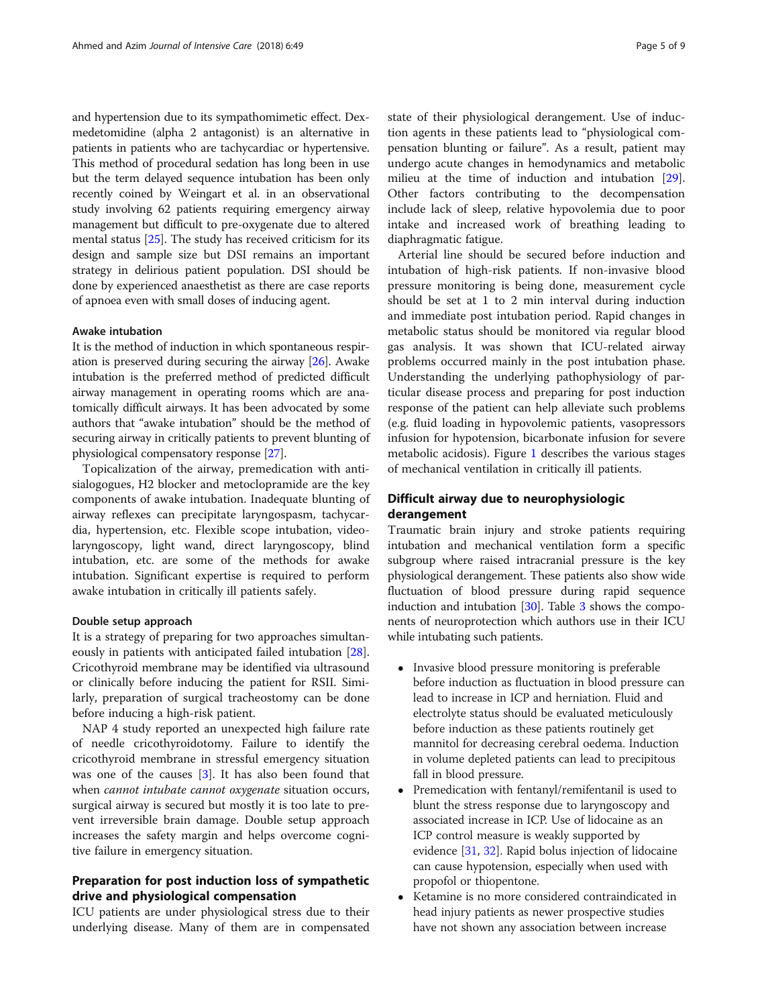and hypertension due to its sympathomimetic effect. Dexmedetomidine (alpha 2 antagonist) is an alternative in patients in patients who are tachycardiac or hypertensive. This method of procedural sedation has long been in use but the term delayed sequence intubation has been only recently coined by Weingart et al. in an observational study involving 62 patients requiring emergency airway management but difficult to pre-oxygenate due to altered mental status [\[25\]](#page-8-0). The study has received criticism for its design and sample size but DSI remains an important strategy in delirious patient population. DSI should be done by experienced anaesthetist as there are case reports of apnoea even with small doses of inducing agent.

## Awake intubation

It is the method of induction in which spontaneous respiration is preserved during securing the airway [\[26](#page-8-0)]. Awake intubation is the preferred method of predicted difficult airway management in operating rooms which are anatomically difficult airways. It has been advocated by some authors that "awake intubation" should be the method of securing airway in critically patients to prevent blunting of physiological compensatory response [\[27](#page-8-0)].

Topicalization of the airway, premedication with antisialogogues, H2 blocker and metoclopramide are the key components of awake intubation. Inadequate blunting of airway reflexes can precipitate laryngospasm, tachycardia, hypertension, etc. Flexible scope intubation, videolaryngoscopy, light wand, direct laryngoscopy, blind intubation, etc. are some of the methods for awake intubation. Significant expertise is required to perform awake intubation in critically ill patients safely.

## Double setup approach

It is a strategy of preparing for two approaches simultaneously in patients with anticipated failed intubation [\[28](#page-8-0)]. Cricothyroid membrane may be identified via ultrasound or clinically before inducing the patient for RSII. Similarly, preparation of surgical tracheostomy can be done before inducing a high-risk patient.

NAP 4 study reported an unexpected high failure rate of needle cricothyroidotomy. Failure to identify the cricothyroid membrane in stressful emergency situation was one of the causes [[3\]](#page-7-0). It has also been found that when *cannot intubate cannot oxygenate* situation occurs, surgical airway is secured but mostly it is too late to prevent irreversible brain damage. Double setup approach increases the safety margin and helps overcome cognitive failure in emergency situation.

# Preparation for post induction loss of sympathetic drive and physiological compensation

ICU patients are under physiological stress due to their underlying disease. Many of them are in compensated state of their physiological derangement. Use of induction agents in these patients lead to "physiological compensation blunting or failure". As a result, patient may undergo acute changes in hemodynamics and metabolic milieu at the time of induction and intubation [\[29](#page-8-0)]. Other factors contributing to the decompensation include lack of sleep, relative hypovolemia due to poor intake and increased work of breathing leading to diaphragmatic fatigue.

Arterial line should be secured before induction and intubation of high-risk patients. If non-invasive blood pressure monitoring is being done, measurement cycle should be set at 1 to 2 min interval during induction and immediate post intubation period. Rapid changes in metabolic status should be monitored via regular blood gas analysis. It was shown that ICU-related airway problems occurred mainly in the post intubation phase. Understanding the underlying pathophysiology of particular disease process and preparing for post induction response of the patient can help alleviate such problems (e.g. fluid loading in hypovolemic patients, vasopressors infusion for hypotension, bicarbonate infusion for severe metabolic acidosis). Figure [1](#page-5-0) describes the various stages of mechanical ventilation in critically ill patients.

## Difficult airway due to neurophysiologic derangement

Traumatic brain injury and stroke patients requiring intubation and mechanical ventilation form a specific subgroup where raised intracranial pressure is the key physiological derangement. These patients also show wide fluctuation of blood pressure during rapid sequence induction and intubation  $[30]$ . Table [3](#page-6-0) shows the components of neuroprotection which authors use in their ICU while intubating such patients.

- Invasive blood pressure monitoring is preferable before induction as fluctuation in blood pressure can lead to increase in ICP and herniation. Fluid and electrolyte status should be evaluated meticulously before induction as these patients routinely get mannitol for decreasing cerebral oedema. Induction in volume depleted patients can lead to precipitous fall in blood pressure.
- Premedication with fentanyl/remifentanil is used to blunt the stress response due to laryngoscopy and associated increase in ICP. Use of lidocaine as an ICP control measure is weakly supported by evidence [\[31](#page-8-0), [32\]](#page-8-0). Rapid bolus injection of lidocaine can cause hypotension, especially when used with propofol or thiopentone.
- Ketamine is no more considered contraindicated in head injury patients as newer prospective studies have not shown any association between increase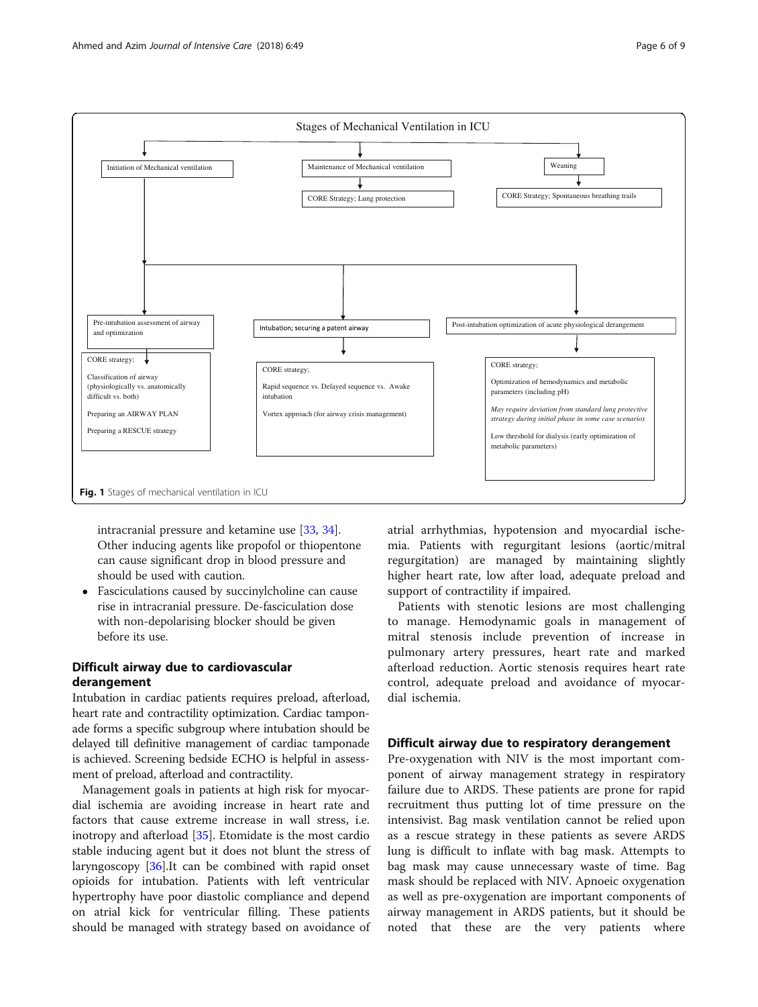<span id="page-5-0"></span>

intracranial pressure and ketamine use [[33](#page-8-0), [34\]](#page-8-0). Other inducing agents like propofol or thiopentone can cause significant drop in blood pressure and should be used with caution.

 Fasciculations caused by succinylcholine can cause rise in intracranial pressure. De-fasciculation dose with non-depolarising blocker should be given before its use.

# Difficult airway due to cardiovascular derangement

Intubation in cardiac patients requires preload, afterload, heart rate and contractility optimization. Cardiac tamponade forms a specific subgroup where intubation should be delayed till definitive management of cardiac tamponade is achieved. Screening bedside ECHO is helpful in assessment of preload, afterload and contractility.

Management goals in patients at high risk for myocardial ischemia are avoiding increase in heart rate and factors that cause extreme increase in wall stress, i.e. inotropy and afterload [\[35](#page-8-0)]. Etomidate is the most cardio stable inducing agent but it does not blunt the stress of laryngoscopy [\[36](#page-8-0)].It can be combined with rapid onset opioids for intubation. Patients with left ventricular hypertrophy have poor diastolic compliance and depend on atrial kick for ventricular filling. These patients should be managed with strategy based on avoidance of

atrial arrhythmias, hypotension and myocardial ischemia. Patients with regurgitant lesions (aortic/mitral regurgitation) are managed by maintaining slightly higher heart rate, low after load, adequate preload and support of contractility if impaired.

Patients with stenotic lesions are most challenging to manage. Hemodynamic goals in management of mitral stenosis include prevention of increase in pulmonary artery pressures, heart rate and marked afterload reduction. Aortic stenosis requires heart rate control, adequate preload and avoidance of myocardial ischemia.

## Difficult airway due to respiratory derangement

Pre-oxygenation with NIV is the most important component of airway management strategy in respiratory failure due to ARDS. These patients are prone for rapid recruitment thus putting lot of time pressure on the intensivist. Bag mask ventilation cannot be relied upon as a rescue strategy in these patients as severe ARDS lung is difficult to inflate with bag mask. Attempts to bag mask may cause unnecessary waste of time. Bag mask should be replaced with NIV. Apnoeic oxygenation as well as pre-oxygenation are important components of airway management in ARDS patients, but it should be noted that these are the very patients where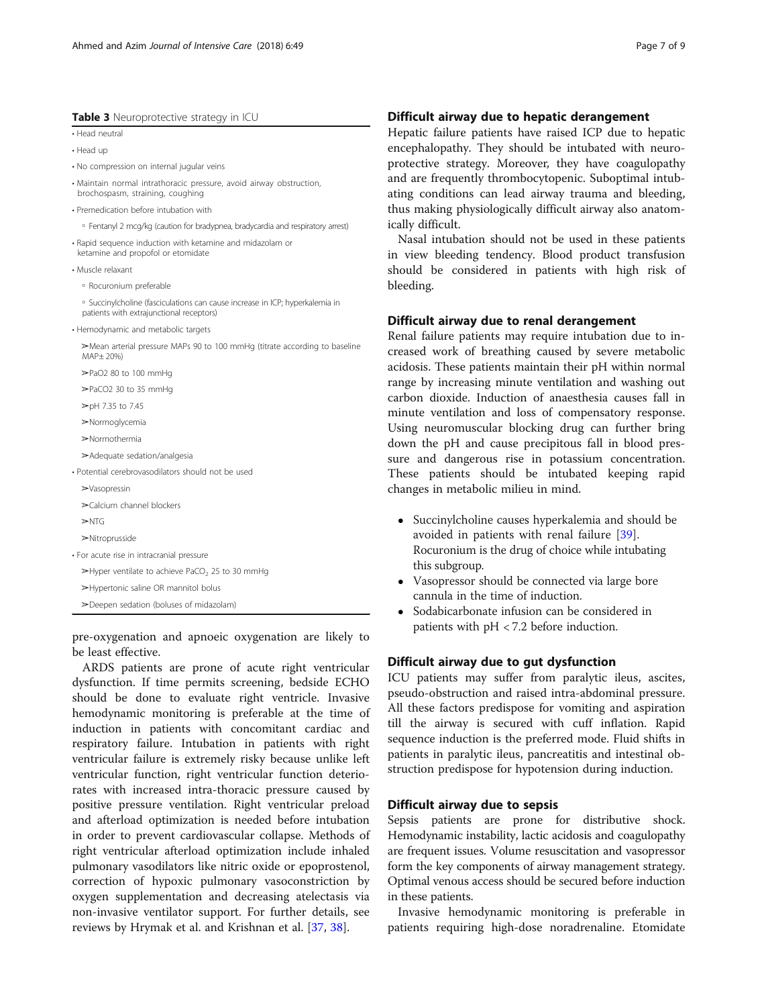#### <span id="page-6-0"></span>Table 3 Neuroprotective strategy in ICU

• Head neutral

- Head up
- No compression on internal jugular veins
- Maintain normal intrathoracic pressure, avoid airway obstruction, brochospasm, straining, coughing
- Premedication before intubation with
- Fentanyl 2 mcg/kg (caution for bradypnea, bradycardia and respiratory arrest)
- Rapid sequence induction with ketamine and midazolam or ketamine and propofol or etomidate
- Muscle relaxant
- Rocuronium preferable
- Succinylcholine (fasciculations can cause increase in ICP; hyperkalemia in patients with extrajunctional receptors)
- Hemodynamic and metabolic targets
	- ➢Mean arterial pressure MAPs 90 to 100 mmHg (titrate according to baseline MAP± 20%)
	- ➢PaO2 80 to 100 mmHg
	- ➢PaCO2 30 to 35 mmHg
	- ➢pH 7.35 to 7.45
	- ➢Normoglycemia
	- ➢Normothermia
	- ➢Adequate sedation/analgesia
- Potential cerebrovasodilators should not be used
	- ➢Vasopressin
	- ➢Calcium channel blockers
	- ➢NTG
	- ➢Nitroprusside
- For acute rise in intracranial pressure
	- $\blacktriangleright$  Hyper ventilate to achieve PaCO<sub>2</sub> 25 to 30 mmHg
	- ➢Hypertonic saline OR mannitol bolus

➢Deepen sedation (boluses of midazolam)

pre-oxygenation and apnoeic oxygenation are likely to be least effective.

ARDS patients are prone of acute right ventricular dysfunction. If time permits screening, bedside ECHO should be done to evaluate right ventricle. Invasive hemodynamic monitoring is preferable at the time of induction in patients with concomitant cardiac and respiratory failure. Intubation in patients with right ventricular failure is extremely risky because unlike left ventricular function, right ventricular function deteriorates with increased intra-thoracic pressure caused by positive pressure ventilation. Right ventricular preload and afterload optimization is needed before intubation in order to prevent cardiovascular collapse. Methods of right ventricular afterload optimization include inhaled pulmonary vasodilators like nitric oxide or epoprostenol, correction of hypoxic pulmonary vasoconstriction by oxygen supplementation and decreasing atelectasis via non-invasive ventilator support. For further details, see reviews by Hrymak et al. and Krishnan et al. [[37,](#page-8-0) [38](#page-8-0)].

## Difficult airway due to hepatic derangement

Hepatic failure patients have raised ICP due to hepatic encephalopathy. They should be intubated with neuroprotective strategy. Moreover, they have coagulopathy and are frequently thrombocytopenic. Suboptimal intubating conditions can lead airway trauma and bleeding, thus making physiologically difficult airway also anatomically difficult.

Nasal intubation should not be used in these patients in view bleeding tendency. Blood product transfusion should be considered in patients with high risk of bleeding.

## Difficult airway due to renal derangement

Renal failure patients may require intubation due to increased work of breathing caused by severe metabolic acidosis. These patients maintain their pH within normal range by increasing minute ventilation and washing out carbon dioxide. Induction of anaesthesia causes fall in minute ventilation and loss of compensatory response. Using neuromuscular blocking drug can further bring down the pH and cause precipitous fall in blood pressure and dangerous rise in potassium concentration. These patients should be intubated keeping rapid changes in metabolic milieu in mind.

- Succinylcholine causes hyperkalemia and should be avoided in patients with renal failure [[39](#page-8-0)]. Rocuronium is the drug of choice while intubating this subgroup.
- Vasopressor should be connected via large bore cannula in the time of induction.
- Sodabicarbonate infusion can be considered in patients with pH < 7.2 before induction.

## Difficult airway due to gut dysfunction

ICU patients may suffer from paralytic ileus, ascites, pseudo-obstruction and raised intra-abdominal pressure. All these factors predispose for vomiting and aspiration till the airway is secured with cuff inflation. Rapid sequence induction is the preferred mode. Fluid shifts in patients in paralytic ileus, pancreatitis and intestinal obstruction predispose for hypotension during induction.

## Difficult airway due to sepsis

Sepsis patients are prone for distributive shock. Hemodynamic instability, lactic acidosis and coagulopathy are frequent issues. Volume resuscitation and vasopressor form the key components of airway management strategy. Optimal venous access should be secured before induction in these patients.

Invasive hemodynamic monitoring is preferable in patients requiring high-dose noradrenaline. Etomidate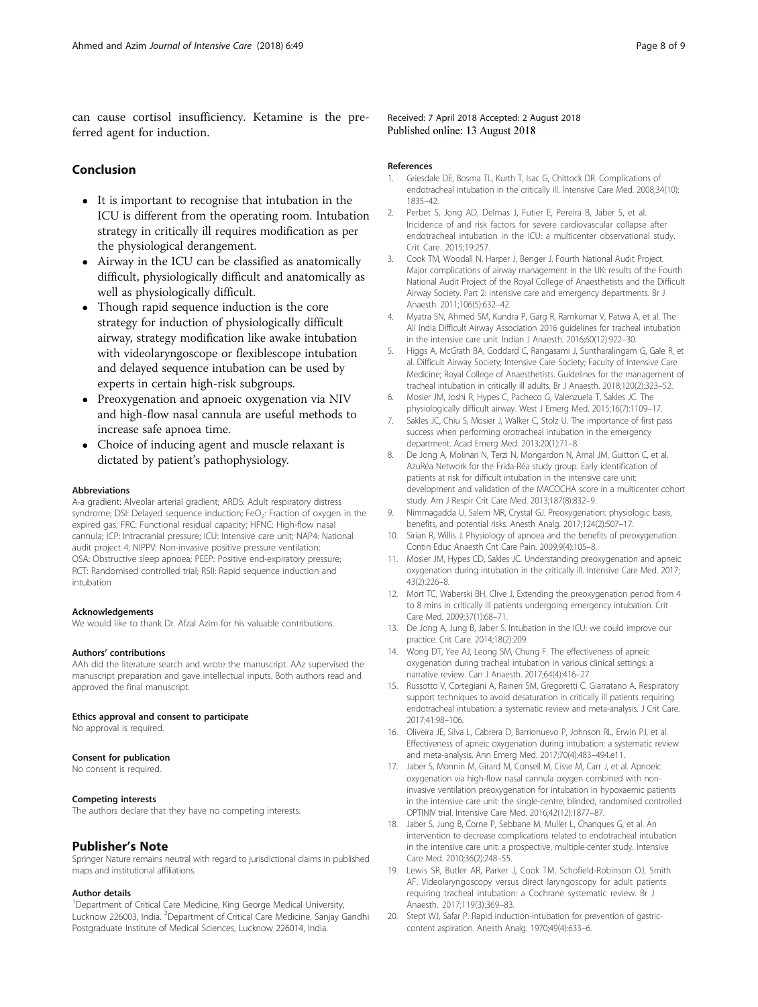<span id="page-7-0"></span>can cause cortisol insufficiency. Ketamine is the preferred agent for induction.

# Conclusion

- It is important to recognise that intubation in the ICU is different from the operating room. Intubation strategy in critically ill requires modification as per the physiological derangement.
- Airway in the ICU can be classified as anatomically difficult, physiologically difficult and anatomically as well as physiologically difficult.
- Though rapid sequence induction is the core strategy for induction of physiologically difficult airway, strategy modification like awake intubation with videolaryngoscope or flexiblescope intubation and delayed sequence intubation can be used by experts in certain high-risk subgroups.
- Preoxygenation and apnoeic oxygenation via NIV and high-flow nasal cannula are useful methods to increase safe apnoea time.
- Choice of inducing agent and muscle relaxant is dictated by patient's pathophysiology.

#### **Abbreviations**

A-a gradient: Alveolar arterial gradient; ARDS: Adult respiratory distress syndrome; DSI: Delayed sequence induction; FeO<sub>2</sub>: Fraction of oxygen in the expired gas; FRC: Functional residual capacity; HFNC: High-flow nasal cannula; ICP: Intracranial pressure; ICU: Intensive care unit; NAP4: National audit project 4; NIPPV: Non-invasive positive pressure ventilation; OSA: Obstructive sleep apnoea; PEEP: Positive end-expiratory pressure; RCT: Randomised controlled trial; RSII: Rapid sequence induction and intubation

#### Acknowledgements

We would like to thank Dr. Afzal Azim for his valuable contributions.

#### Authors' contributions

AAh did the literature search and wrote the manuscript. AAz supervised the manuscript preparation and gave intellectual inputs. Both authors read and approved the final manuscript.

#### Ethics approval and consent to participate

No approval is required.

#### Consent for publication

No consent is required.

#### Competing interests

The authors declare that they have no competing interests.

# Publisher's Note

Springer Nature remains neutral with regard to jurisdictional claims in published maps and institutional affiliations.

#### Author details

<sup>1</sup>Department of Critical Care Medicine, King George Medical University, Lucknow 226003, India. <sup>2</sup>Department of Critical Care Medicine, Sanjay Gandhi Postgraduate Institute of Medical Sciences, Lucknow 226014, India.

Received: 7 April 2018 Accepted: 2 August 2018 Published online: 13 August 2018

#### References

- 1. Griesdale DE, Bosma TL, Kurth T, Isac G, Chittock DR. Complications of endotracheal intubation in the critically ill. Intensive Care Med. 2008;34(10): 1835–42.
- 2. Perbet S, Jong AD, Delmas J, Futier E, Pereira B, Jaber S, et al. Incidence of and risk factors for severe cardiovascular collapse after endotracheal intubation in the ICU: a multicenter observational study. Crit Care. 2015;19:257.
- 3. Cook TM, Woodall N, Harper J, Benger J. Fourth National Audit Project. Major complications of airway management in the UK: results of the Fourth National Audit Project of the Royal College of Anaesthetists and the Difficult Airway Society. Part 2: intensive care and emergency departments. Br J Anaesth. 2011;106(5):632–42.
- 4. Myatra SN, Ahmed SM, Kundra P, Garg R, Ramkumar V, Patwa A, et al. The All India Difficult Airway Association 2016 guidelines for tracheal intubation in the intensive care unit. Indian J Anaesth. 2016;60(12):922–30.
- 5. Higgs A, McGrath BA, Goddard C, Rangasami J, Suntharalingam G, Gale R, et al. Difficult Airway Society; Intensive Care Society; Faculty of Intensive Care Medicine; Royal College of Anaesthetists. Guidelines for the management of tracheal intubation in critically ill adults. Br J Anaesth. 2018;120(2):323–52.
- 6. Mosier JM, Joshi R, Hypes C, Pacheco G, Valenzuela T, Sakles JC. The physiologically difficult airway. West J Emerg Med. 2015;16(7):1109–17.
- 7. Sakles JC, Chiu S, Mosier J, Walker C, Stolz U. The importance of first pass success when performing orotracheal intubation in the emergency department. Acad Emerg Med. 2013;20(1):71–8.
- 8. De Jong A, Molinari N, Terzi N, Mongardon N, Arnal JM, Guitton C, et al. AzuRéa Network for the Frida-Réa study group. Early identification of patients at risk for difficult intubation in the intensive care unit: development and validation of the MACOCHA score in a multicenter cohort study. Am J Respir Crit Care Med. 2013;187(8):832–9.
- 9. Nimmagadda U, Salem MR, Crystal GJ. Preoxygenation: physiologic basis, benefits, and potential risks. Anesth Analg. 2017;124(2):507–17.
- 10. Sirian R, Willis J. Physiology of apnoea and the benefits of preoxygenation. Contin Educ Anaesth Crit Care Pain. 2009;9(4):105–8.
- 11. Mosier JM, Hypes CD, Sakles JC. Understanding preoxygenation and apneic oxygenation during intubation in the critically ill. Intensive Care Med. 2017; 43(2):226–8.
- 12. Mort TC, Waberski BH, Clive J. Extending the preoxygenation period from 4 to 8 mins in critically ill patients undergoing emergency intubation. Crit Care Med. 2009;37(1):68–71.
- 13. De Jong A, Jung B, Jaber S. Intubation in the ICU: we could improve our practice. Crit Care. 2014;18(2):209.
- 14. Wong DT, Yee AJ, Leong SM, Chung F. The effectiveness of apneic oxygenation during tracheal intubation in various clinical settings: a narrative review. Can J Anaesth. 2017;64(4):416–27.
- 15. Russotto V, Cortegiani A, Raineri SM, Gregoretti C, Giarratano A. Respiratory support techniques to avoid desaturation in critically ill patients requiring endotracheal intubation: a systematic review and meta-analysis. J Crit Care. 2017;41:98–106.
- 16. Oliveira JE, Silva L, Cabrera D, Barrionuevo P, Johnson RL, Erwin PJ, et al. Effectiveness of apneic oxygenation during intubation: a systematic review and meta-analysis. Ann Emerg Med. 2017;70(4):483–494.e11.
- 17. Jaber S, Monnin M, Girard M, Conseil M, Cisse M, Carr J, et al. Apnoeic oxygenation via high-flow nasal cannula oxygen combined with noninvasive ventilation preoxygenation for intubation in hypoxaemic patients in the intensive care unit: the single-centre, blinded, randomised controlled OPTINIV trial. Intensive Care Med. 2016;42(12):1877–87.
- 18. Jaber S, Jung B, Corne P, Sebbane M, Muller L, Chanques G, et al. An intervention to decrease complications related to endotracheal intubation in the intensive care unit: a prospective, multiple-center study. Intensive Care Med. 2010;36(2):248–55.
- 19. Lewis SR, Butler AR, Parker J, Cook TM, Schofield-Robinson OJ, Smith AF. Videolaryngoscopy versus direct laryngoscopy for adult patients requiring tracheal intubation: a Cochrane systematic review. Br J Anaesth. 2017;119(3):369–83.
- 20. Stept WJ, Safar P. Rapid induction-intubation for prevention of gastriccontent aspiration. Anesth Analg. 1970;49(4):633–6.